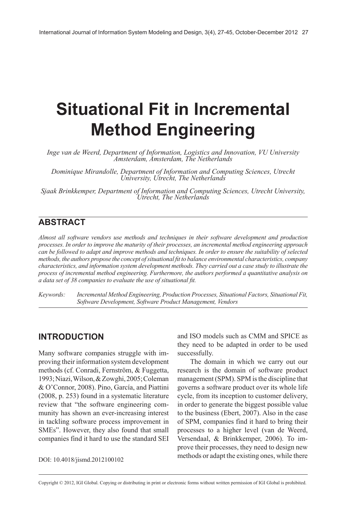# **Situational Fit in Incremental Method Engineering**

Inge van de Weerd, Department of Information, Logistics and Innovation, VU University<br>Amsterdam, Amsterdam, The Netherlands

*Dominique Mirandolle, Department of Information and Computing Sciences, Utrecht University, Utrecht, The Netherlands*

*Sjaak Brinkkemper, Department of Information and Computing Sciences, Utrecht University, Utrecht, The Netherlands*

# **ABSTRACT**

*Almost all software vendors use methods and techniques in their software development and production processes. In order to improve the maturity of their processes, an incremental method engineering approach* can be followed to adapt and improve methods and techniques. In order to ensure the suitability of selected *methods, the authors propose the concept ofsituational fit to balance environmental characteristics, company characteristics, and information system development methods. They carried out a case study to illustrate the process of incremental method engineering. Furthermore, the authors performed a quantitative analysis on a data set of 38 companies to evaluate the use of situational fit.*

*Keywords: Incremental Method Engineering, Production Processes, Situational Factors, Situational Fit, Software Development, Software Product Management, Vendors*

#### **INTRODUCTION**

Many software companies struggle with improving their information system development methods (cf. Conradi, Fernström, & Fuggetta, 1993; Niazi, Wilson, & Zowghi, 2005; Coleman & O'Connor, 2008). Pino, García, and Piattini (2008, p. 253) found in a systematic literature review that "the software engineering community has shown an ever-increasing interest in tackling software process improvement in SMEs". However, they also found that small companies find it hard to use the standard SEI

DOI: 10.4018/jismd.2012100102

and ISO models such as CMM and SPICE as they need to be adapted in order to be used successfully.

The domain in which we carry out our research is the domain of software product management (SPM). SPM is the discipline that governs a software product over its whole life cycle, from its inception to customer delivery, in order to generate the biggest possible value to the business (Ebert, 2007). Also in the case of SPM, companies find it hard to bring their processes to a higher level (van de Weerd, Versendaal, & Brinkkemper, 2006). To improve their processes, they need to design new methods or adapt the existing ones, while there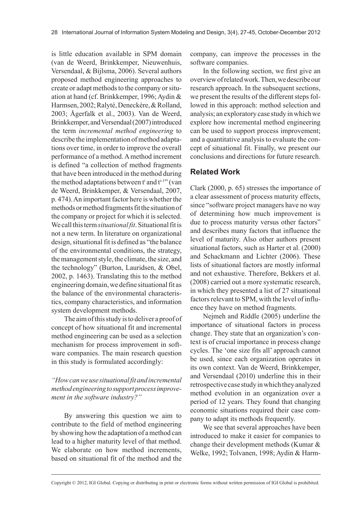is little education available in SPM domain (van de Weerd, Brinkkemper, Nieuwenhuis, Versendaal, & Bijlsma, 2006). Several authors proposed method engineering approaches to create or adapt methods to the company or situation at hand (cf. Brinkkemper, 1996; Aydin & Harmsen, 2002; Ralyté, Deneckère, & Rolland, 2003; Ågerfalk et al., 2003). Van de Weerd, Brinkkemper, and Versendaal (2007) introduced the term *incremental method engineering* to describe the implementation of method adaptations over time, in order to improve the overall performance of a method. A method increment is defined "a collection of method fragments that have been introduced in the method during the method adaptations between  $t^i$  and  $t^{i-1}$ " (van de Weerd, Brinkkemper, & Versendaal, 2007, p. 474). An important factor here is whether the methods or method fragments fit the situation of the company or project for which it is selected. We call this term *situationalfit*. Situational fit is not a new term. In literature on organizational design, situational fit is defined as "the balance of the environmental conditions, the strategy, the management style, the climate, the size, and the technology" (Burton, Lauridsen, & Obel, 2002, p. 1463). Translating this to the method engineering domain, we define situational fit as the balance of the environmental characteristics, company characteristics, and information system development methods.

The aim of this study is to deliver a proof of concept of how situational fit and incremental method engineering can be used as a selection mechanism for process improvement in software companies. The main research question in this study is formulated accordingly:

#### *"Howcanweuse situationalfitandincremental methodengineeringtosupportprocessimprovement in the software industry?"*

By answering this question we aim to contribute to the field of method engineering by showing how the adaptation of a method can lead to a higher maturity level of that method. We elaborate on how method increments, based on situational fit of the method and the

company, can improve the processes in the software companies.

In the following section, we first give an overview of related work. Then, we describe our research approach. In the subsequent sections, we present the results of the different steps followed in this approach: method selection and analysis; an exploratory case study in which we explore how incremental method engineering can be used to support process improvement; and a quantitative analysis to evaluate the concept of situational fit. Finally, we present our conclusions and directions for future research.

#### **Related Work**

Clark (2000, p. 65) stresses the importance of a clear assessment of process maturity effects, since "software project managers have no way of determining how much improvement is due to process maturity versus other factors" and describes many factors that influence the level of maturity. Also other authors present situational factors, such as Harter et al. (2000) and Schackmann and Lichter (2006). These lists of situational factors are mostly informal and not exhaustive. Therefore, Bekkers et al. (2008) carried out a more systematic research, in which they presented a list of 27 situational factors relevant to SPM, with the level of influence they have on method fragments.

Nejmeh and Riddle (2005) underline the importance of situational factors in process change. They state that an organization's context is of crucial importance in process change cycles. The 'one size fits all' approach cannot be used, since each organization operates in its own context. Van de Weerd, Brinkkemper, and Versendaal (2010) underline this in their retrospective case study in which they analyzed method evolution in an organization over a period of 12 years. They found that changing economic situations required their case company to adapt its methods frequently.

We see that several approaches have been introduced to make it easier for companies to change their development methods (Kumar & Welke, 1992; Tolvanen, 1998; Aydin & Harm-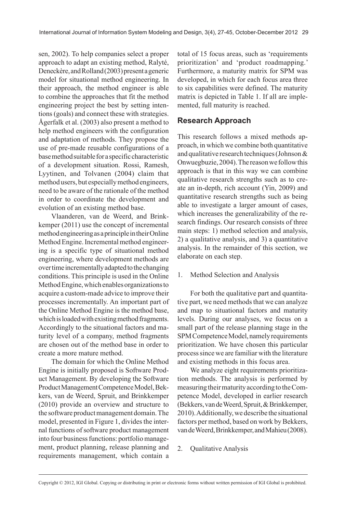sen, 2002). To help companies select a proper approach to adapt an existing method, Ralyté, Deneckère, and Rolland (2003) present a generic model for situational method engineering. In their approach, the method engineer is able to combine the approaches that fit the method engineering project the best by setting intentions (goals) and connect these with strategies. Ågerfalk et al. (2003) also present a method to help method engineers with the configuration and adaptation of methods. They propose the use of pre-made reusable configurations of a base method suitable for a specific characteristic of a development situation. Rossi, Ramesh, Lyytinen, and Tolvanen (2004) claim that method users, but especially method engineers, need to be aware of the rationale of the method in order to coordinate the development and evolution of an existing method base.

Vlaanderen, van de Weerd, and Brinkkemper (2011) use the concept of incremental method engineering as a principle in their Online Method Engine. Incremental method engineering is a specific type of situational method engineering, where development methods are over time incrementally adapted to the changing conditions. This principle is used in the Online Method Engine, which enables organizations to acquire a custom-made advice to improve their processes incrementally. An important part of the Online Method Engine is the method base, which is loaded with existing method fragments. Accordingly to the situational factors and maturity level of a company, method fragments are chosen out of the method base in order to create a more mature method.

The domain for which the Online Method Engine is initially proposed is Software Product Management. By developing the Software Product Management Competence Model, Bekkers, van de Weerd, Spruit, and Brinkkemper (2010) provide an overview and structure to the software product management domain. The model, presented in Figure 1, divides the internal functions of software product management into four business functions: portfolio management, product planning, release planning and requirements management, which contain a

total of 15 focus areas, such as 'requirements prioritization' and 'product roadmapping.' Furthermore, a maturity matrix for SPM was developed, in which for each focus area three to six capabilities were defined. The maturity matrix is depicted in Table 1. If all are implemented, full maturity is reached.

#### **Research Approach**

This research follows a mixed methods approach, in which we combine both quantitative and qualitative research techniques (Johnson & Onwuegbuzie, 2004). The reason we follow this approach is that in this way we can combine qualitative research strengths such as to create an in-depth, rich account (Yin, 2009) and quantitative research strengths such as being able to investigate a larger amount of cases, which increases the generalizability of the research findings. Our research consists of three main steps: 1) method selection and analysis, 2) a qualitative analysis, and 3) a quantitative analysis. In the remainder of this section, we elaborate on each step.

#### 1. Method Selection and Analysis

For both the qualitative part and quantitative part, we need methods that we can analyze and map to situational factors and maturity levels. During our analyses, we focus on a small part of the release planning stage in the SPM Competence Model, namely requirements prioritization. We have chosen this particular process since we are familiar with the literature and existing methods in this focus area.

We analyze eight requirements prioritization methods. The analysis is performed by measuring their maturity according to the Competence Model, developed in earlier research (Bekkers, van de Weerd, Spruit, & Brinkkemper, 2010). Additionally, we describe the situational factors per method, based on work by Bekkers, van de Weerd, Brinkkemper, and Mahieu (2008).

2. Qualitative Analysis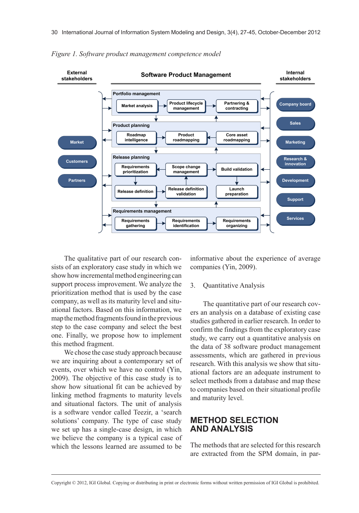

*Figure 1. Software product management competence model*

The qualitative part of our research consists of an exploratory case study in which we show how incremental method engineering can support process improvement. We analyze the prioritization method that is used by the case company, as well as its maturity level and situational factors. Based on this information, we map the method fragments found in the previous step to the case company and select the best one. Finally, we propose how to implement this method fragment.

We chose the case study approach because we are inquiring about a contemporary set of events, over which we have no control (Yin, 2009). The objective of this case study is to show how situational fit can be achieved by linking method fragments to maturity levels and situational factors. The unit of analysis is a software vendor called Teezir, a 'search solutions' company. The type of case study we set up has a single-case design, in which we believe the company is a typical case of which the lessons learned are assumed to be

informative about the experience of average companies (Yin, 2009).

#### 3. Quantitative Analysis

The quantitative part of our research covers an analysis on a database of existing case studies gathered in earlier research. In order to confirm the findings from the exploratory case study, we carry out a quantitative analysis on the data of 38 software product management assessments, which are gathered in previous research. With this analysis we show that situational factors are an adequate instrument to select methods from a database and map these to companies based on their situational profile and maturity level.

### **METHOD SELECTION AND ANALYSIS**

The methods that are selected for this research are extracted from the SPM domain, in par-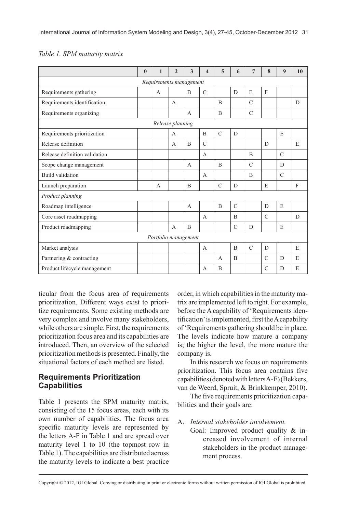|                               | $\mathbf{0}$ | 1                    | $\overline{2}$   | 3              | $\overline{\mathbf{4}}$ | 5              | 6              | 7              | 8              | $\boldsymbol{9}$ | 10           |
|-------------------------------|--------------|----------------------|------------------|----------------|-------------------------|----------------|----------------|----------------|----------------|------------------|--------------|
| Requirements management       |              |                      |                  |                |                         |                |                |                |                |                  |              |
| Requirements gathering        |              | A                    |                  | B              | $\mathcal{C}$           |                | D              | E              | $\mathbf{F}$   |                  |              |
| Requirements identification   |              |                      | $\overline{A}$   |                |                         | $\overline{B}$ |                | $\mathcal{C}$  |                |                  | D            |
| Requirements organizing       |              |                      |                  | A              |                         | $\overline{B}$ |                | $\overline{C}$ |                |                  |              |
|                               |              |                      | Release planning |                |                         |                |                |                |                |                  |              |
| Requirements prioritization   |              |                      | A                |                | $\overline{B}$          | $\overline{C}$ | D              |                |                | E                |              |
| Release definition            |              |                      | $\overline{A}$   | $\overline{B}$ | $\mathcal{C}$           |                |                |                | $\overline{D}$ |                  | E            |
| Release definition validation |              |                      |                  |                | A                       |                |                | B              |                | $\mathcal{C}$    |              |
| Scope change management       |              |                      |                  | $\mathsf{A}$   |                         | $\overline{B}$ |                | $\mathcal{C}$  |                | D                |              |
| <b>Build</b> validation       |              |                      |                  |                | $\overline{A}$          |                |                | $\overline{B}$ |                | $\mathcal{C}$    |              |
| Launch preparation            |              | A                    |                  | B              |                         | $\mathcal{C}$  | D              |                | E              |                  | $\mathbf{F}$ |
| Product planning              |              |                      |                  |                |                         |                |                |                |                |                  |              |
| Roadmap intelligence          |              |                      |                  | A              |                         | B              | $\mathcal{C}$  |                | D              | E                |              |
| Core asset roadmapping        |              |                      |                  |                | $\overline{A}$          |                | B              |                | $\mathcal{C}$  |                  | D            |
| Product roadmapping           |              |                      | A                | B              |                         |                | $\mathcal{C}$  | D              |                | E                |              |
|                               |              | Portfolio management |                  |                |                         |                |                |                |                |                  |              |
| Market analysis               |              |                      |                  |                | $\mathsf{A}$            |                | $\overline{B}$ | $\mathcal{C}$  | D              |                  | E            |
| Partnering & contracting      |              |                      |                  |                |                         | $\overline{A}$ | $\overline{B}$ |                | $\mathcal{C}$  | D                | E            |
| Product lifecycle management  |              |                      |                  |                | A                       | B              |                |                | $\overline{C}$ | D                | E            |

#### *Table 1. SPM maturity matrix*

ticular from the focus area of requirements prioritization. Different ways exist to prioritize requirements. Some existing methods are very complex and involve many stakeholders, while others are simple. First, the requirements prioritization focus area and its capabilities are introduced. Then, an overview of the selected prioritization methods is presented. Finally, the situational factors of each method are listed.

#### **Requirements Prioritization Capabilities**

Table 1 presents the SPM maturity matrix, consisting of the 15 focus areas, each with its own number of capabilities. The focus area specific maturity levels are represented by the letters A-F in Table 1 and are spread over maturity level 1 to 10 (the topmost row in Table 1). The capabilities are distributed across the maturity levels to indicate a best practice order, in which capabilities in the maturity matrix are implemented left to right. For example, before the A capability of 'Requirements identification' is implemented, first the A capability of 'Requirements gathering should be in place. The levels indicate how mature a company is; the higher the level, the more mature the company is.

In this research we focus on requirements prioritization. This focus area contains five capabilities (denoted with letters A-E) (Bekkers, van de Weerd, Spruit, & Brinkkemper, 2010).

The five requirements prioritization capabilities and their goals are:

A. *Internal stakeholder involvement.*

Goal: Improved product quality & increased involvement of internal stakeholders in the product management process.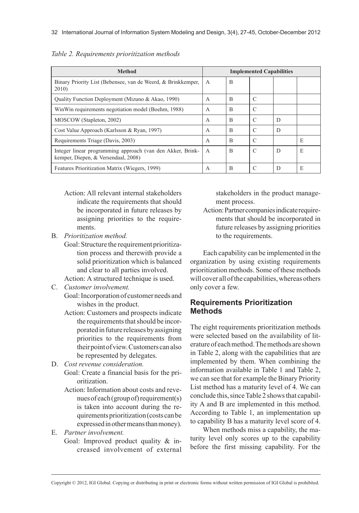| <b>Method</b>                                                                                     | <b>Implemented Capabilities</b> |   |               |   |   |  |
|---------------------------------------------------------------------------------------------------|---------------------------------|---|---------------|---|---|--|
| Binary Priority List (Bebensee, van de Weerd, & Brinkkemper,<br>2010)                             | A                               | B |               |   |   |  |
| Quality Function Deployment (Mizuno & Akao, 1990)                                                 | $\mathsf{A}$                    | B | C             |   |   |  |
| WinWin requirements negotiation model (Boehm, 1988)                                               | A                               | B | C             |   |   |  |
| MOSCOW (Stapleton, 2002)                                                                          | A                               | B | C             | D |   |  |
| Cost Value Approach (Karlsson & Ryan, 1997)                                                       | A                               | B | C             | D |   |  |
| Requirements Triage (Davis, 2003)                                                                 | A                               | B | C             |   | E |  |
| Integer linear programming approach (van den Akker, Brink-<br>kemper, Diepen, & Versendaal, 2008) | A                               | B | $\mathcal{C}$ | D | E |  |
| Features Prioritization Matrix (Wiegers, 1999)                                                    | A                               | B | C             | D | E |  |

*Table 2. Requirements prioritization methods*

Action: All relevant internal stakeholders indicate the requirements that should be incorporated in future releases by assigning priorities to the requirements.

- B. *Prioritization method.*
	- Goal: Structure the requirement prioritization process and therewith provide a solid prioritization which is balanced and clear to all parties involved.
	- Action: A structured technique is used.
- C. *Customer involvement.*
	- Goal: Incorporation of customer needs and wishes in the product.
		- Action: Customers and prospects indicate the requirements that should be incorporated in future releases by assigning priorities to the requirements from their point of view. Customers can also be represented by delegates.
- D. *Cost revenue consideration.*
	- Goal: Create a financial basis for the prioritization.
	- Action: Information about costs and revenues of each (group of) requirement(s) is taken into account during the requirements prioritization (costs can be expressed in other means than money).
- E. *Partner involvement.*
	- Goal: Improved product quality & increased involvement of external

stakeholders in the product management process.

Action: Partner companies indicate requirements that should be incorporated in future releases by assigning priorities to the requirements.

Each capability can be implemented in the organization by using existing requirements prioritization methods. Some of these methods will cover all of the capabilities, whereas others only cover a few.

#### **Requirements Prioritization Methods**

The eight requirements prioritization methods were selected based on the availability of literature of each method. The methods are shown in Table 2, along with the capabilities that are implemented by them. When combining the information available in Table 1 and Table 2, we can see that for example the Binary Priority List method has a maturity level of 4. We can conclude this, since Table 2 shows that capability A and B are implemented in this method. According to Table 1, an implementation up to capability B has a maturity level score of 4.

When methods miss a capability, the maturity level only scores up to the capability before the first missing capability. For the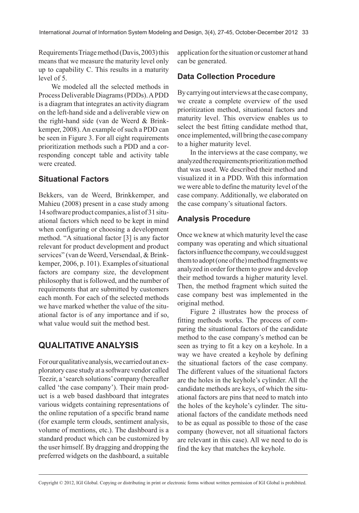Requirements Triage method (Davis, 2003) this means that we measure the maturity level only up to capability C. This results in a maturity level of 5.

We modeled all the selected methods in Process Deliverable Diagrams (PDDs). A PDD is a diagram that integrates an activity diagram on the left-hand side and a deliverable view on the right-hand side (van de Weerd & Brinkkemper, 2008). An example of such a PDD can be seen in Figure 3. For all eight requirements prioritization methods such a PDD and a corresponding concept table and activity table were created.

#### **Situational Factors**

Bekkers, van de Weerd, Brinkkemper, and Mahieu (2008) present in a case study among 14 software product companies, a list of 31 situational factors which need to be kept in mind when configuring or choosing a development method. "A situational factor [3] is any factor relevant for product development and product services" (van de Weerd, Versendaal, & Brinkkemper, 2006, p. 101). Examples of situational factors are company size, the development philosophy that is followed, and the number of requirements that are submitted by customers each month. For each of the selected methods we have marked whether the value of the situational factor is of any importance and if so, what value would suit the method best.

# **QUALITATIVE ANALYSIS**

For our qualitative analysis, we carried out an exploratory case study at a software vendor called Teezir, a 'search solutions' company (hereafter called 'the case company'). Their main product is a web based dashboard that integrates various widgets containing representations of the online reputation of a specific brand name (for example term clouds, sentiment analysis, volume of mentions, etc.). The dashboard is a standard product which can be customized by the user himself. By dragging and dropping the preferred widgets on the dashboard, a suitable

application for the situation or customer at hand can be generated.

#### **Data Collection Procedure**

By carrying out interviews at the case company, we create a complete overview of the used prioritization method, situational factors and maturity level. This overview enables us to select the best fitting candidate method that, once implemented, will bring the case company to a higher maturity level.

In the interviews at the case company, we analyzed the requirements prioritization method that was used. We described their method and visualized it in a PDD. With this information we were able to define the maturity level of the case company. Additionally, we elaborated on the case company's situational factors.

## **Analysis Procedure**

Once we knew at which maturity level the case company was operating and which situational factors influence the company, we could suggest them to adopt (one of the) method fragments we analyzed in order for them to grow and develop their method towards a higher maturity level. Then, the method fragment which suited the case company best was implemented in the original method.

Figure 2 illustrates how the process of fitting methods works. The process of comparing the situational factors of the candidate method to the case company's method can be seen as trying to fit a key on a keyhole. In a way we have created a keyhole by defining the situational factors of the case company. The different values of the situational factors are the holes in the keyhole's cylinder. All the candidate methods are keys, of which the situational factors are pins that need to match into the holes of the keyhole's cylinder. The situational factors of the candidate methods need to be as equal as possible to those of the case company (however, not all situational factors are relevant in this case). All we need to do is find the key that matches the keyhole.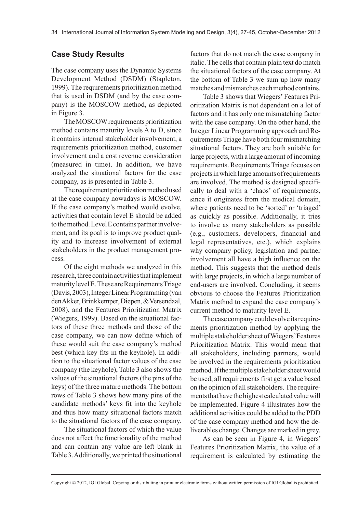#### **Case Study Results**

The case company uses the Dynamic Systems Development Method (DSDM) (Stapleton, 1999). The requirements prioritization method that is used in DSDM (and by the case company) is the MOSCOW method, as depicted in Figure 3.

The MOSCOW requirements prioritization method contains maturity levels A to D, since it contains internal stakeholder involvement, a requirements prioritization method, customer involvement and a cost revenue consideration (measured in time). In addition, we have analyzed the situational factors for the case company, as is presented in Table 3.

The requirement prioritization method used at the case company nowadays is MOSCOW. If the case company's method would evolve, activities that contain level E should be added to the method. Level E contains partner involvement, and its goal is to improve product quality and to increase involvement of external stakeholders in the product management process.

Of the eight methods we analyzed in this research, three contain activities that implement maturity level E. These are Requirements Triage (Davis, 2003), Integer Linear Programming (van den Akker, Brinkkemper, Diepen, & Versendaal, 2008), and the Features Prioritization Matrix (Wiegers, 1999). Based on the situational factors of these three methods and those of the case company, we can now define which of these would suit the case company's method best (which key fits in the keyhole). In addition to the situational factor values of the case company (the keyhole), Table 3 also shows the values of the situational factors (the pins of the keys) of the three mature methods. The bottom rows of Table 3 shows how many pins of the candidate methods' keys fit into the keyhole and thus how many situational factors match to the situational factors of the case company.

The situational factors of which the value does not affect the functionality of the method and can contain any value are left blank in Table 3. Additionally, we printed the situational factors that do not match the case company in italic. The cells that contain plain text do match the situational factors of the case company. At the bottom of Table 3 we sum up how many matches and mismatches each method contains.

Table 3 shows that Wiegers' Features Prioritization Matrix is not dependent on a lot of factors and it has only one mismatching factor with the case company. On the other hand, the Integer Linear Programming approach and Requirements Triage have both four mismatching situational factors. They are both suitable for large projects, with a large amount of incoming requirements. Requirements Triage focuses on projects in which large amounts of requirements are involved. The method is designed specifically to deal with a 'chaos' of requirements, since it originates from the medical domain, where patients need to be 'sorted' or 'triaged' as quickly as possible. Additionally, it tries to involve as many stakeholders as possible (e.g., customers, developers, financial and legal representatives, etc.), which explains why company policy, legislation and partner involvement all have a high influence on the method. This suggests that the method deals with large projects, in which a large number of end-users are involved. Concluding, it seems obvious to choose the Features Prioritization Matrix method to expand the case company's current method to maturity level E.

The case company could evolve its requirements prioritization method by applying the multiple stakeholder sheet of Wiegers' Features Prioritization Matrix. This would mean that all stakeholders, including partners, would be involved in the requirements prioritization method. If the multiple stakeholder sheet would be used, all requirements first get a value based on the opinion of all stakeholders. The requirements that have the highest calculated value will be implemented. Figure 4 illustrates how the additional activities could be added to the PDD of the case company method and how the deliverables change. Changes are marked in grey.

As can be seen in Figure 4, in Wiegers' Features Prioritization Matrix, the value of a requirement is calculated by estimating the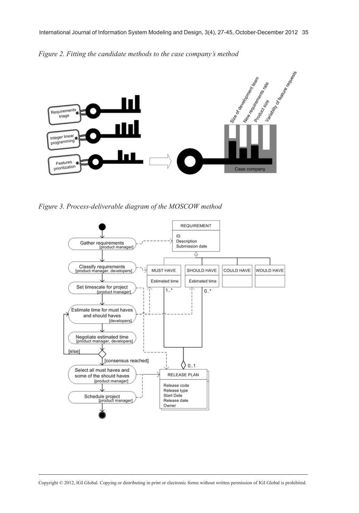

*Figure 2. Fitting the candidate methods to the case company's method*

*Figure 3. Process-deliverable diagram of the MOSCOW method*

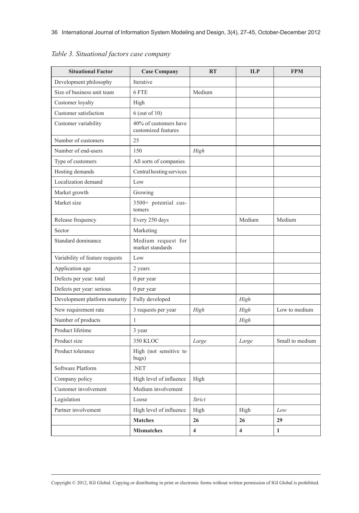| <b>Situational Factor</b>       | <b>Case Company</b>                          | <b>RT</b>               | <b>ILP</b>              | <b>FPM</b>      |
|---------------------------------|----------------------------------------------|-------------------------|-------------------------|-----------------|
| Development philosophy          | Iterative                                    |                         |                         |                 |
| Size of business unit team      | 6 FTE                                        | Medium                  |                         |                 |
| Customer loyalty                | High                                         |                         |                         |                 |
| Customer satisfaction           | 6 (out of 10)                                |                         |                         |                 |
| Customer variability            | 40% of customers have<br>customized features |                         |                         |                 |
| Number of customers             | 25                                           |                         |                         |                 |
| Number of end-users             | 150                                          | High                    |                         |                 |
| Type of customers               | All sorts of companies                       |                         |                         |                 |
| Hosting demands                 | Central hosting services                     |                         |                         |                 |
| Localization demand             | Low                                          |                         |                         |                 |
| Market growth                   | Growing                                      |                         |                         |                 |
| Market size                     | 3500+ potential cus-<br>tomers               |                         |                         |                 |
| Release frequency               | Every 250 days                               |                         | Medium                  | Medium          |
| Sector                          | Marketing                                    |                         |                         |                 |
| Standard dominance              | Medium request for<br>market standards       |                         |                         |                 |
| Variability of feature requests | Low                                          |                         |                         |                 |
| Application age                 | 2 years                                      |                         |                         |                 |
| Defects per year: total         | 0 per year                                   |                         |                         |                 |
| Defects per year: serious       | 0 per year                                   |                         |                         |                 |
| Development platform maturity   | Fully developed                              |                         | High                    |                 |
| New requirement rate            | 3 requests per year                          | High                    | High                    | Low to medium   |
| Number of products              | 1                                            |                         | High                    |                 |
| Product lifetime                | 3 year                                       |                         |                         |                 |
| Product size                    | <b>350 KLOC</b>                              | Large                   | Large                   | Small to medium |
| Product tolerance               | High (not sensitive to<br>bugs)              |                         |                         |                 |
| Software Platform               | .NET                                         |                         |                         |                 |
| Company policy                  | High level of influence                      | High                    |                         |                 |
| Customer involvement            | Medium involvement                           |                         |                         |                 |
| Legislation                     | Loose                                        | Strict                  |                         |                 |
| Partner involvement             | High level of influence                      | High                    | High                    | Low             |
|                                 | <b>Matches</b>                               | 26                      | 26                      | 29              |
|                                 | <b>Mismatches</b>                            | $\overline{\mathbf{4}}$ | $\overline{\mathbf{4}}$ | $\mathbf{1}$    |

*Table 3. Situational factors case company*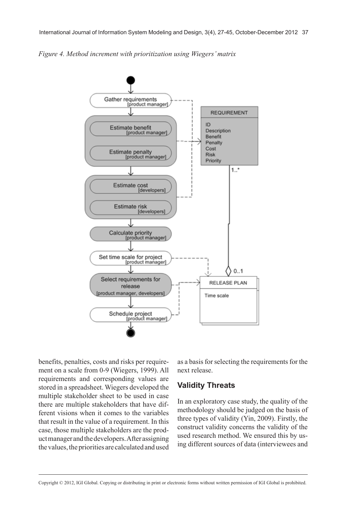*Figure 4. Method increment with prioritization using Wiegers'matrix*



benefits, penalties, costs and risks per requirement on a scale from 0-9 (Wiegers, 1999). All requirements and corresponding values are stored in a spreadsheet. Wiegers developed the multiple stakeholder sheet to be used in case there are multiple stakeholders that have different visions when it comes to the variables that result in the value of a requirement. In this case, those multiple stakeholders are the product manager and the developers. After assigning the values, the priorities are calculated and used

as a basis for selecting the requirements for the next release.

#### **Validity Threats**

In an exploratory case study, the quality of the methodology should be judged on the basis of three types of validity (Yin, 2009). Firstly, the construct validity concerns the validity of the used research method. We ensured this by using different sources of data (interviewees and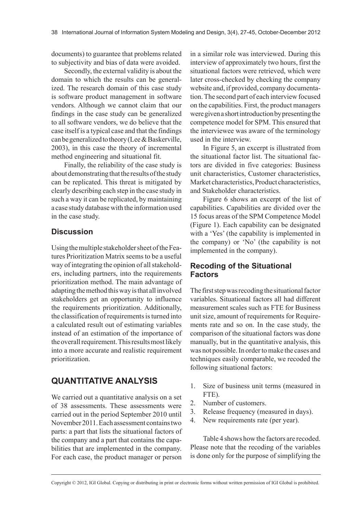documents) to guarantee that problems related to subjectivity and bias of data were avoided.

Secondly, the external validity is about the domain to which the results can be generalized. The research domain of this case study is software product management in software vendors. Although we cannot claim that our findings in the case study can be generalized to all software vendors, we do believe that the case itself is a typical case and that the findings can be generalized to theory (Lee & Baskerville, 2003), in this case the theory of incremental method engineering and situational fit.

Finally, the reliability of the case study is about demonstrating that the results of the study can be replicated. This threat is mitigated by clearly describing each step in the case study in such a way it can be replicated, by maintaining a case study database with the information used in the case study.

#### **Discussion**

Using the multiple stakeholder sheet of the Features Prioritization Matrix seems to be a useful way of integrating the opinion of all stakeholders, including partners, into the requirements prioritization method. The main advantage of adapting the method this way is that all involved stakeholders get an opportunity to influence the requirements prioritization. Additionally, the classification of requirements is turned into a calculated result out of estimating variables instead of an estimation of the importance of the overall requirement. This results most likely into a more accurate and realistic requirement prioritization.

# **QUANTITATIVE ANALYSIS**

We carried out a quantitative analysis on a set of 38 assessments. These assessments were carried out in the period September 2010 until November 2011. Each assessment contains two parts: a part that lists the situational factors of the company and a part that contains the capabilities that are implemented in the company. For each case, the product manager or person

in a similar role was interviewed. During this interview of approximately two hours, first the situational factors were retrieved, which were later cross-checked by checking the company website and, if provided, company documentation. The second part of each interview focused on the capabilities. First, the product managers were given a short introduction by presenting the competence model for SPM. This ensured that the interviewee was aware of the terminology used in the interview.

In Figure 5, an excerpt is illustrated from the situational factor list. The situational factors are divided in five categories: Business unit characteristics, Customer characteristics, Market characteristics, Product characteristics, and Stakeholder characteristics.

Figure 6 shows an excerpt of the list of capabilities. Capabilities are divided over the 15 focus areas of the SPM Competence Model (Figure 1). Each capability can be designated with a 'Yes' (the capability is implemented in the company) or 'No' (the capability is not implemented in the company).

#### **Recoding of the Situational Factors**

The first step was recoding the situational factor variables. Situational factors all had different measurement scales such as FTE for Business unit size, amount of requirements for Requirements rate and so on. In the case study, the comparison of the situational factors was done manually, but in the quantitative analysis, this was not possible. In order to make the cases and techniques easily comparable, we recoded the following situational factors:

- 1. Size of business unit terms (measured in FTE).
- 2. Number of customers.
- 3. Release frequency (measured in days).
- 4. New requirements rate (per year).

Table 4 shows how the factors are recoded. Please note that the recoding of the variables is done only for the purpose of simplifying the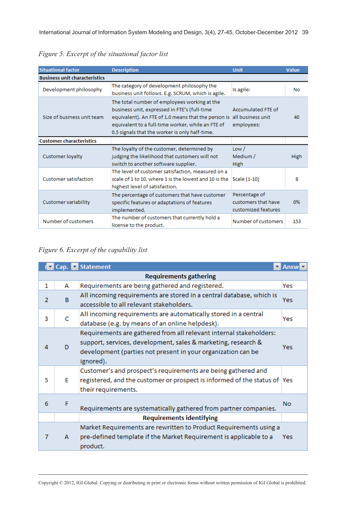| <b>Situational factor</b>            | <b>Description</b>                                                                                                                                                                                                                                                           | <b>Unit</b>                                                 | Value |
|--------------------------------------|------------------------------------------------------------------------------------------------------------------------------------------------------------------------------------------------------------------------------------------------------------------------------|-------------------------------------------------------------|-------|
| <b>Business unit characteristics</b> |                                                                                                                                                                                                                                                                              |                                                             |       |
| Development philosophy               | The category of development philosophy the<br>business unit follows. E.g. SCRUM, which is agile.                                                                                                                                                                             | Is agile:                                                   | Nο    |
| Size of business unit team           | The total number of employees working at the<br>business unit, expressed in FTE's (full-time<br>equivalent). An FTE of 1.0 means that the person is all business unit<br>equivalent to a full-time worker, while an FTE of<br>0.5 signals that the worker is only half-time. | Accumulated FTE of<br>employees:                            | 40    |
| <b>Customer characteristics</b>      |                                                                                                                                                                                                                                                                              |                                                             |       |
| <b>Customer loyalty</b>              | The loyalty of the customer, determined by<br>judging the likelihood that customers will not<br>switch to another software supplier.                                                                                                                                         | Low $/$<br>Medium /<br>High                                 | High  |
| Customer satisfaction                | The level of customer satisfaction, measured on a<br>scale of 1 to 10, where 1 is the lowest and 10 is the<br>highest level of satisfaction.                                                                                                                                 | Scale (1-10)                                                | я     |
| Customer variability                 | The percentage of customers that have customer<br>specific features or adaptations of features<br>implemented.                                                                                                                                                               | Percentage of<br>customers that have<br>customized features | 0%    |
| Number of customers                  | The number of customers that currently hold a<br>license to the product.                                                                                                                                                                                                     | Number of customers                                         | 153   |

*Figure 5. Excerpt of the situational factor list*

*Figure 6. Excerpt of the capability list*

|                | Cap. | <b>Statement</b>                                                                                                                                                                                                 | $\blacksquare$ Answ |
|----------------|------|------------------------------------------------------------------------------------------------------------------------------------------------------------------------------------------------------------------|---------------------|
|                |      | <b>Requirements gathering</b>                                                                                                                                                                                    |                     |
| 1              | А    | Requirements are being gathered and registered.                                                                                                                                                                  | Yes                 |
| $\overline{2}$ | B    | All incoming requirements are stored in a central database, which is<br>accessible to all relevant stakeholders.                                                                                                 | Yes                 |
| 3              | c    | All incoming requirements are automatically stored in a central<br>database (e.g. by means of an online helpdesk).                                                                                               | Yes                 |
| 4              | D    | Requirements are gathered from all relevant internal stakeholders:<br>support, services, development, sales & marketing, research &<br>development (parties not present in your organization can be<br>ignored). | Yes                 |
| 5              | Е    | Customer's and prospect's requirements are being gathered and<br>registered, and the customer or prospect is informed of the status of Yes<br>their requirements.                                                |                     |
| 6              | F    | Requirements are systematically gathered from partner companies.                                                                                                                                                 | No.                 |
|                |      | <b>Requirements identifying</b>                                                                                                                                                                                  |                     |
| 7              | А    | Market Requirements are rewritten to Product Requirements using a<br>pre-defined template if the Market Requirement is applicable to a<br>product.                                                               | Yes                 |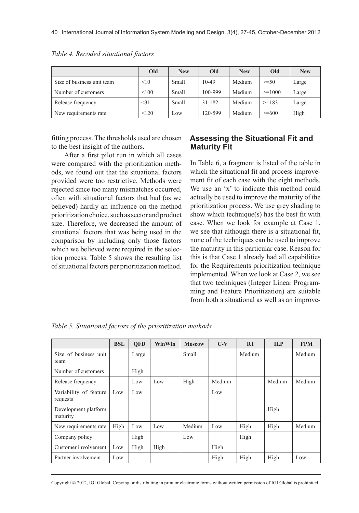|                            | Old    | <b>New</b> | <b>Old</b> | <b>New</b> | Old      | <b>New</b> |
|----------------------------|--------|------------|------------|------------|----------|------------|
| Size of business unit team | <10    | Small      | $10-49$    | Medium     | $>=50$   | Large      |
| Number of customers        | < 100  | Small      | 100-999    | Medium     | $>=1000$ | Large      |
| Release frequency          | $<$ 31 | Small      | $31 - 182$ | Medium     | $>=183$  | Large      |
| New requirements rate      | < 120  | Low        | 120-599    | Medium     | $>=600$  | High       |

*Table 4. Recoded situational factors*

fitting process. The thresholds used are chosen to the best insight of the authors.

After a first pilot run in which all cases were compared with the prioritization methods, we found out that the situational factors provided were too restrictive. Methods were rejected since too many mismatches occurred, often with situational factors that had (as we believed) hardly an influence on the method prioritization choice, such as sector and product size. Therefore, we decreased the amount of situational factors that was being used in the comparison by including only those factors which we believed were required in the selection process. Table 5 shows the resulting list of situational factors per prioritization method.

#### **Assessing the Situational Fit and Maturity Fit**

In Table 6, a fragment is listed of the table in which the situational fit and process improvement fit of each case with the eight methods. We use an 'x' to indicate this method could actually be used to improve the maturity of the prioritization process. We use grey shading to show which technique(s) has the best fit with case. When we look for example at Case 1, we see that although there is a situational fit, none of the techniques can be used to improve the maturity in this particular case. Reason for this is that Case 1 already had all capabilities for the Requirements prioritization technique implemented. When we look at Case 2, we see that two techniques (Integer Linear Programming and Feature Prioritization) are suitable from both a situational as well as an improve-

|                                    | <b>BSL</b> | <b>OFD</b> | WinWin | <b>Moscow</b> | $C-V$  | RT     | ILP    | <b>FPM</b> |
|------------------------------------|------------|------------|--------|---------------|--------|--------|--------|------------|
| Size of business unit<br>team      |            | Large      |        | Small         |        | Medium |        | Medium     |
| Number of customers                |            | High       |        |               |        |        |        |            |
| Release frequency                  |            | Low        | Low    | High          | Medium |        | Medium | Medium     |
| Variability of feature<br>requests | Low        | Low        |        |               | Low    |        |        |            |
| Development platform<br>maturity   |            |            |        |               |        |        | High   |            |
| New requirements rate              | High       | Low        | Low    | Medium        | Low    | High   | High   | Medium     |
| Company policy                     |            | High       |        | Low           |        | High   |        |            |
| Customer involvement               | Low        | High       | High   |               | High   |        |        |            |
| Partner involvement                | Low        |            |        |               | High   | High   | High   | Low        |

*Table 5. Situational factors of the prioritization methods*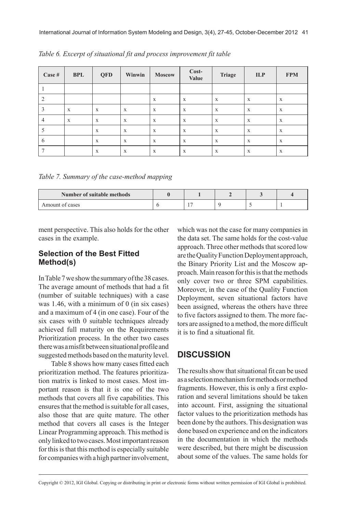| Case #         | <b>BPL</b>  | <b>QFD</b>   | Winwin | <b>Moscow</b> | Cost-<br>Value            | <b>Triage</b> | <b>ILP</b>   | <b>FPM</b>  |
|----------------|-------------|--------------|--------|---------------|---------------------------|---------------|--------------|-------------|
|                |             |              |        |               |                           |               |              |             |
| $\overline{2}$ |             |              |        | X             | $\mathbf{x}$              | X             | $\mathbf{x}$ | $\mathbf X$ |
| 3              | $\mathbf x$ | $\mathbf{x}$ | X      | X             | $\mathbf{x}$              | $\mathbf x$   | $\mathbf{x}$ | X           |
| $\overline{4}$ | X           | $\mathbf X$  | X      | X             | X                         | X             | $\mathbf{x}$ | X           |
| 5              |             | X            | X      | X             | $\mathbf{x}$              | X             | $\mathbf{x}$ | $\mathbf X$ |
| 6              |             | $\mathbf X$  | X      | X             | $\boldsymbol{\mathrm{X}}$ | X             | $\mathbf{x}$ | X           |
| $\mathcal{I}$  |             | X            | X      | X             | X                         | X             | X            | X           |

*Table 6. Excerpt of situational fit and process improvement fit table*

*Table 7. Summary of the case-method mapping*

| Number of suitable methods |  |  |  |
|----------------------------|--|--|--|
| Amount of cases            |  |  |  |

ment perspective. This also holds for the other cases in the example.

#### **Selection of the Best Fitted Method(s)**

In Table 7 we show the summary of the 38 cases. The average amount of methods that had a fit (number of suitable techniques) with a case was 1.46, with a minimum of 0 (in six cases) and a maximum of 4 (in one case). Four of the six cases with 0 suitable techniques already achieved full maturity on the Requirements Prioritization process. In the other two cases there was a misfit between situational profile and suggested methods based on the maturity level.

Table 8 shows how many cases fitted each prioritization method. The features prioritization matrix is linked to most cases. Most important reason is that it is one of the two methods that covers all five capabilities. This ensures that the method is suitable for all cases, also those that are quite mature. The other method that covers all cases is the Integer Linear Programming approach. This method is only linked to two cases. Most important reason for this is that this method is especially suitable for companies with a high partner involvement, which was not the case for many companies in the data set. The same holds for the cost-value approach. Three other methods that scored low are the Quality Function Deployment approach, the Binary Priority List and the Moscow approach. Main reason for this is that the methods only cover two or three SPM capabilities. Moreover, in the case of the Quality Function Deployment, seven situational factors have been assigned, whereas the others have three to five factors assigned to them. The more factors are assigned to a method, the more difficult it is to find a situational fit.

# **DISCUSSION**

The results show that situational fit can be used as a selection mechanism for methods or method fragments. However, this is only a first exploration and several limitations should be taken into account. First, assigning the situational factor values to the prioritization methods has been done by the authors. This designation was done based on experience and on the indicators in the documentation in which the methods were described, but there might be discussion about some of the values. The same holds for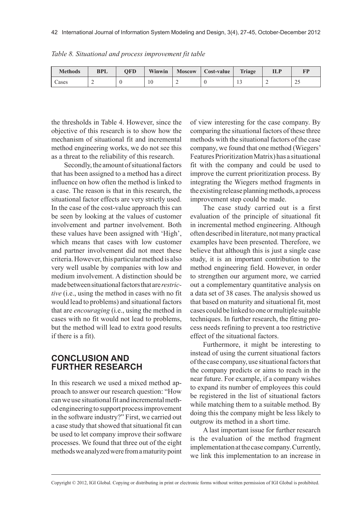| <b>Methods</b> | <b>BPL</b> | OFD | <b>Winwin</b> | <b>Moscow</b> | Cost-value | Triage | IT D<br>ш | FI                 |
|----------------|------------|-----|---------------|---------------|------------|--------|-----------|--------------------|
| cases          |            |     | 1 V           |               |            |        | ∼         | $\sim$ $\sim$<br>ت |

*Table 8. Situational and process improvement fit table*

the thresholds in Table 4. However, since the objective of this research is to show how the mechanism of situational fit and incremental method engineering works, we do not see this as a threat to the reliability of this research.

Secondly, the amount of situational factors that has been assigned to a method has a direct influence on how often the method is linked to a case. The reason is that in this research, the situational factor effects are very strictly used. In the case of the cost-value approach this can be seen by looking at the values of customer involvement and partner involvement. Both these values have been assigned with 'High', which means that cases with low customer and partner involvement did not meet these criteria. However, this particular method is also very well usable by companies with low and medium involvement. A distinction should be made between situational factors that are *restrictive* (i.e., using the method in cases with no fit would lead to problems) and situational factors that are *encouraging* (i.e., using the method in cases with no fit would not lead to problems, but the method will lead to extra good results if there is a fit).

## **CONCLUSION AND FURTHER RESEARCH**

In this research we used a mixed method approach to answer our research question: "How can we use situational fit and incremental method engineering to support process improvement in the software industry?" First, we carried out a case study that showed that situational fit can be used to let company improve their software processes. We found that three out of the eight methods we analyzed were from a maturity point of view interesting for the case company. By comparing the situational factors of these three methods with the situational factors of the case company, we found that one method (Wiegers' Features Prioritization Matrix) has a situational fit with the company and could be used to improve the current prioritization process. By integrating the Wiegers method fragments in the existing release planning methods, a process improvement step could be made.

The case study carried out is a first evaluation of the principle of situational fit in incremental method engineering. Although often described in literature, not many practical examples have been presented. Therefore, we believe that although this is just a single case study, it is an important contribution to the method engineering field. However, in order to strengthen our argument more, we carried out a complementary quantitative analysis on a data set of 38 cases. The analysis showed us that based on maturity and situational fit, most cases could be linked to one or multiple suitable techniques. In further research, the fitting process needs refining to prevent a too restrictive effect of the situational factors.

Furthermore, it might be interesting to instead of using the current situational factors of the case company, use situational factors that the company predicts or aims to reach in the near future. For example, if a company wishes to expand its number of employees this could be registered in the list of situational factors while matching them to a suitable method. By doing this the company might be less likely to outgrow its method in a short time.

A last important issue for further research is the evaluation of the method fragment implementation at the case company. Currently, we link this implementation to an increase in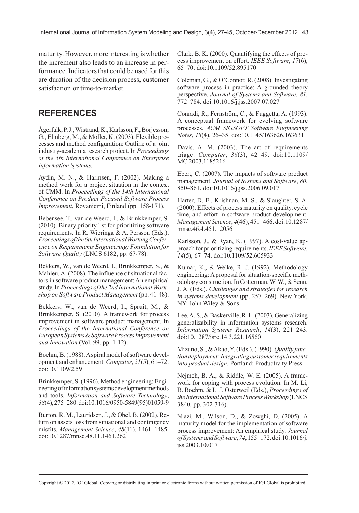maturity. However, more interesting is whether the increment also leads to an increase in performance. Indicators that could be used for this are duration of the decision process, customer satisfaction or time-to-market.

## **REFERENCES**

Ågerfalk, P. J., Wistrand, K., Karlsson, F., Börjesson, G., Elmberg, M., & Möller, K. (2003). Flexible processes and method configuration: Outline of a joint industry-academia research project. In *Proceedings of the 5th International Conference on Enterprise Information Systems.*

Aydin, M. N., & Harmsen, F. (2002). Making a method work for a project situation in the context of CMM. In *Proceedings of the 14th International Conference on Product Focused Software Process Improvement*, Rovaniemi, Finland (pp. 158-171).

Bebensee, T., van de Weerd, I., & Brinkkemper, S. (2010). Binary priority list for prioritizing software requirements. In R. Wieringa & A. Persson (Eds.), *Proceedingsofthe6thInternationalWorkingConference on Requirements Engineering: Foundation for Software Quality* (LNCS 6182, pp. 67-78).

Bekkers, W., van de Weerd, I., Brinkkemper, S., & Mahieu, A. (2008). The influence of situational factors in software product management: An empirical study. In *Proceedings of the 2nd International Workshop on Software Product Management* (pp. 41-48).

Bekkers, W., van de Weerd, I., Spruit, M., & Brinkkemper, S. (2010). A framework for process improvement in software product management. In *Proceedings of the International Conference on European Systems&SoftwareProcessImprovement and Innovation* (Vol. 99, pp. 1-12).

Boehm, B. (1988). A spiral model of software development and enhancement. *Computer*, *21*(5), 61–72. doi:10.1109/2.59

Brinkkemper, S. (1996). Method engineering: Engineering of information systems development methods and tools. *Information and Software Technology*, *38*(4), 275–280. doi:10.1016/0950-5849(95)01059-9

Burton, R. M., Lauridsen, J., & Obel, B. (2002). Return on assets loss from situational and contingency misfits. *Management Science*, *48*(11), 1461–1485. doi:10.1287/mnsc.48.11.1461.262

Clark, B. K. (2000). Quantifying the effects of process improvement on effort. *IEEE Software*, *17*(6), 65–70. doi:10.1109/52.895170

Coleman, G., & O'Connor, R. (2008). Investigating software process in practice: A grounded theory perspective. *Journal of Systems and Software*, *81*, 772–784. doi:10.1016/j.jss.2007.07.027

Conradi, R., Fernström, C., & Fuggetta, A. (1993). A conceptual framework for evolving software processes. *ACM SIGSOFT Software Engineering Notes*, *18*(4), 26–35. doi:10.1145/163626.163631

Davis, A. M. (2003). The art of requirements triage. *Computer*, *36*(3), 42–49. doi:10.1109/ MC.2003.1185216

Ebert, C. (2007). The impacts of software product management. *Journal of Systems and Software*, *80*, 850–861. doi:10.1016/j.jss.2006.09.017

Harter, D. E., Krishnan, M. S., & Slaughter, S. A. (2000). Effects of process maturity on quality, cycle time, and effort in software product development. *Management Science*, *4*(46), 451–466. doi:10.1287/ mnsc.46.4.451.12056

Karlsson, J., & Ryan, K. (1997). A cost-value approach for prioritizing requirements. *IEEESoftware*, *14*(5), 67–74. doi:10.1109/52.605933

Kumar, K., & Welke, R. J. (1992). Methodology engineering: A proposal for situation-specific methodology construction. In Cotterman, W. W., & Senn, J. A. (Eds.), *Challenges and strategies for research in systems development* (pp. 257–269). New York, NY: John Wiley & Sons.

Lee, A. S., & Baskerville, R. L. (2003). Generalizing generalizability in information systems research. *Information Systems Research*, *14*(3), 221–243. doi:10.1287/isre.14.3.221.16560

Mizuno, S., & Akao, Y. (Eds.). (1990). *Quality functiondeployment:Integrating customerrequirements into product design*. Portland: Productivity Press.

Nejmeh, B. A., & Riddle, W. E. (2005). A framework for coping with process evolution. In M. Li, B. Boehm, & L. J. Osterweil (Eds.), *Proceedings of the InternationalSoftwareProcessWorkshop* (LNCS 3840, pp. 302-316).

Niazi, M., Wilson, D., & Zowghi, D. (2005). A maturity model for the implementation of software process improvement: An empirical study. *Journal ofSystemsandSoftware*, *74*, 155–172. doi:10.1016/j. jss.2003.10.017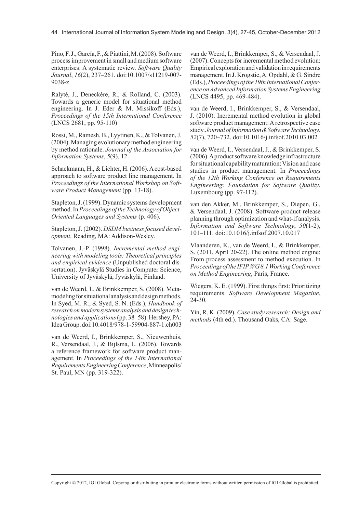Pino, F. J., García, F., & Piattini, M. (2008). Software process improvement in small and medium software enterprises: A systematic review. *Software Quality Journal*, *16*(2), 237–261. doi:10.1007/s11219-007- 9038-z

Ralyté, J., Deneckère, R., & Rolland, C. (2003). Towards a generic model for situational method engineering. In J. Eder & M. Missikoff (Eds.), *Proceedings of the 15th International Conference* (LNCS 2681, pp. 95-110)

Rossi, M., Ramesh, B., Lyytinen, K., & Tolvanen, J. (2004). Managing evolutionary method engineering by method rationale. *Journal of the Association for Information Systems*, *5*(9), 12.

Schackmann, H., & Lichter, H. (2006). A cost-based approach to software product line management. In *Proceedings of the International Workshop on Software Product Management* (pp. 13-18).

Stapleton, J. (1999). Dynamic systems development method. In *Proceedings oftheTechnology ofObject-Oriented Languages and Systems* (p. 406).

Stapleton, J. (2002). *DSDM business focused development*. Reading, MA: Addison-Wesley.

Tolvanen, J.-P. (1998). *Incremental method engineering with modeling tools: Theoretical principles and empirical evidence* (Unpublished doctoral dissertation). Jyväskylä Studies in Computer Science, University of Jyväskylä, Jyväskylä, Finland.

van de Weerd, I., & Brinkkemper, S. (2008). Metamodeling for situational analysis and design methods. In Syed, M. R., & Syed, S. N. (Eds.), *Handbook of researchonmodernsystemsanalysisanddesigntechnologies and applications* (pp. 38–58). Hershey, PA: Idea Group. doi:10.4018/978-1-59904-887-1.ch003

van de Weerd, I., Brinkkemper, S., Nieuwenhuis, R., Versendaal, J., & Bijlsma, L. (2006). Towards a reference framework for software product management. In *Proceedings of the 14th International RequirementsEngineeringConference*, Minneapolis/ St. Paul, MN (pp. 319-322).

van de Weerd, I., Brinkkemper, S., & Versendaal, J. (2007). Concepts for incremental method evolution: Empirical exploration and validation in requirements management. In J. Krogstie, A. Opdahl, & G. Sindre (Eds.), *Proceedingsofthe19thInternationalConference onAdvanced Information SystemsEngineering* (LNCS 4495, pp. 469-484).

van de Weerd, I., Brinkkemper, S., & Versendaal, J. (2010). Incremental method evolution in global software product management: A retrospective case study. *JournalofInformation&SoftwareTechnology*, *52*(7), 720–732. doi:10.1016/j.infsof.2010.03.002

van de Weerd, I., Versendaal, J., & Brinkkemper, S. (2006). A product software knowledge infrastructure for situational capability maturation: Vision and case studies in product management. In *Proceedings of the 12th Working Conference on Requirements Engineering: Foundation for Software Quality*, Luxembourg (pp. 97-112).

van den Akker, M., Brinkkemper, S., Diepen, G., & Versendaal, J. (2008). Software product release planning through optimization and what-if analysis. *Information and Software Technology*, *50*(1-2), 101–111. doi:10.1016/j.infsof.2007.10.017

Vlaanderen, K., van de Weerd, I., & Brinkkemper, S. (2011, April 20-22). The online method engine: From process assessment to method execution. In *Proceedingsofthe IFIPWG8.1WorkingConference on Method Engineering*, Paris, France.

Wiegers, K. E. (1999). First things first: Prioritizing requirements. *Software Development Magazine*, 24-30.

Yin, R. K. (2009). *Case study research: Design and methods* (4th ed.). Thousand Oaks, CA: Sage.